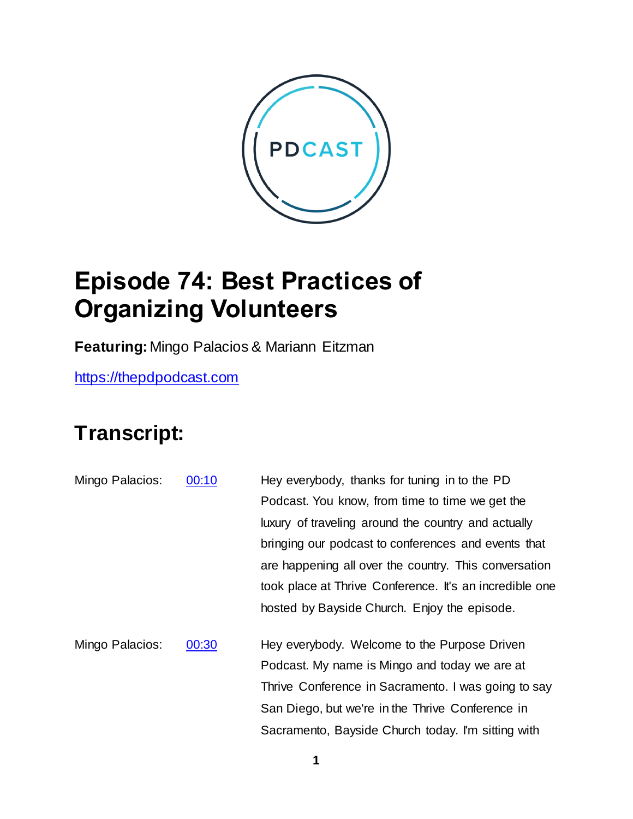

## **Episode 74: Best Practices of Organizing Volunteers**

**Featuring:** Mingo Palacios & Mariann Eitzman

[https://thepdpodcast.com](https://thepdpodcast.com/)

## **Transcript:**

Mingo Palacios: [00:10](https://www.temi.com/editor/t/lVGmS-6NS3Wzo82BE0O4nkUFaBO61hYkBWxeevHEkKNCepvKxpsRyD7XMY4CCRkeWDVsBXmMQubOlhWbDWjTvZvwH4Y?loadFrom=DocumentDeeplink&ts=10.99) Hey everybody, thanks for tuning in to the PD Podcast. You know, from time to time we get the luxury of traveling around the country and actually bringing our podcast to conferences and events that are happening all over the country. This conversation took place at Thrive Conference. It's an incredible one hosted by Bayside Church. Enjoy the episode. Mingo Palacios: [00:30](https://www.temi.com/editor/t/lVGmS-6NS3Wzo82BE0O4nkUFaBO61hYkBWxeevHEkKNCepvKxpsRyD7XMY4CCRkeWDVsBXmMQubOlhWbDWjTvZvwH4Y?loadFrom=DocumentDeeplink&ts=30.58) Hey everybody. Welcome to the Purpose Driven Podcast. My name is Mingo and today we are at Thrive Conference in Sacramento. I was going to say

San Diego, but we're in the Thrive Conference in

Sacramento, Bayside Church today. I'm sitting with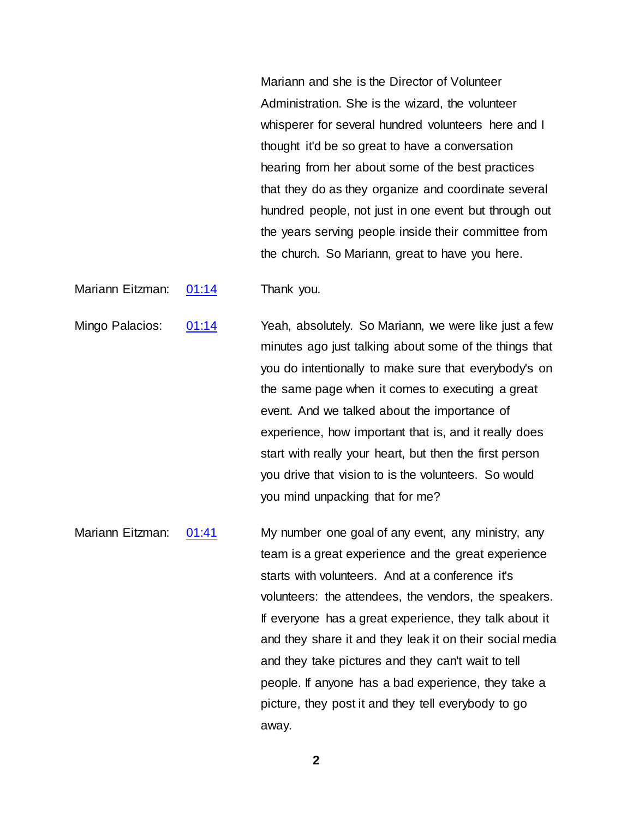Mariann and she is the Director of Volunteer Administration. She is the wizard, the volunteer whisperer for several hundred volunteers here and I thought it'd be so great to have a conversation hearing from her about some of the best practices that they do as they organize and coordinate several hundred people, not just in one event but through out the years serving people inside their committee from the church. So Mariann, great to have you here.

Mariann Eitzman: [01:14](https://www.temi.com/editor/t/lVGmS-6NS3Wzo82BE0O4nkUFaBO61hYkBWxeevHEkKNCepvKxpsRyD7XMY4CCRkeWDVsBXmMQubOlhWbDWjTvZvwH4Y?loadFrom=DocumentDeeplink&ts=74.31) Thank you.

Mingo Palacios: [01:14](https://www.temi.com/editor/t/lVGmS-6NS3Wzo82BE0O4nkUFaBO61hYkBWxeevHEkKNCepvKxpsRyD7XMY4CCRkeWDVsBXmMQubOlhWbDWjTvZvwH4Y?loadFrom=DocumentDeeplink&ts=74.85) Yeah, absolutely. So Mariann, we were like just a few minutes ago just talking about some of the things that you do intentionally to make sure that everybody's on the same page when it comes to executing a great event. And we talked about the importance of experience, how important that is, and it really does start with really your heart, but then the first person you drive that vision to is the volunteers. So would you mind unpacking that for me?

Mariann Eitzman: [01:41](https://www.temi.com/editor/t/lVGmS-6NS3Wzo82BE0O4nkUFaBO61hYkBWxeevHEkKNCepvKxpsRyD7XMY4CCRkeWDVsBXmMQubOlhWbDWjTvZvwH4Y?loadFrom=DocumentDeeplink&ts=101.5) My number one goal of any event, any ministry, any team is a great experience and the great experience starts with volunteers. And at a conference it's volunteers: the attendees, the vendors, the speakers. If everyone has a great experience, they talk about it and they share it and they leak it on their social media and they take pictures and they can't wait to tell people. If anyone has a bad experience, they take a picture, they post it and they tell everybody to go away.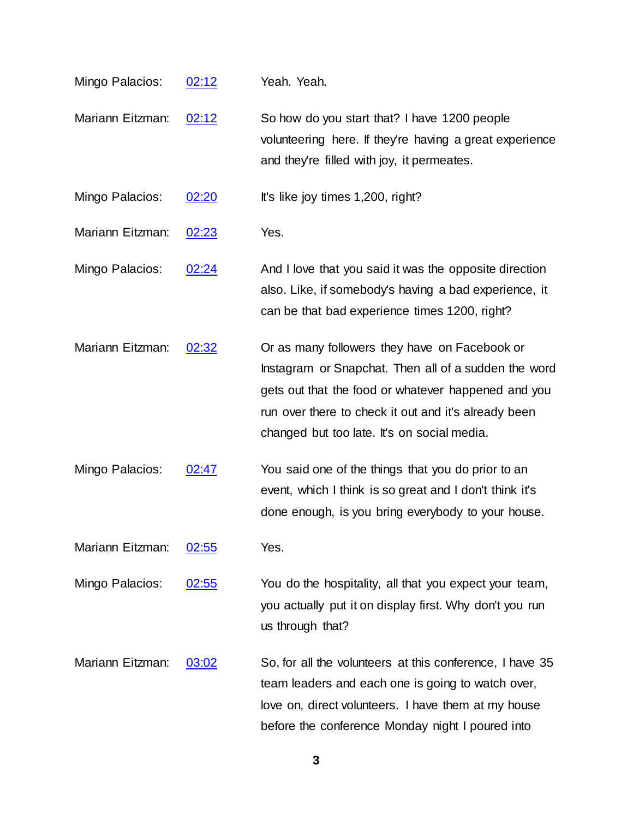- Mingo Palacios: [02:12](https://www.temi.com/editor/t/lVGmS-6NS3Wzo82BE0O4nkUFaBO61hYkBWxeevHEkKNCepvKxpsRyD7XMY4CCRkeWDVsBXmMQubOlhWbDWjTvZvwH4Y?loadFrom=DocumentDeeplink&ts=132.22) Yeah. Yeah. Mariann Eitzman: [02:12](https://www.temi.com/editor/t/lVGmS-6NS3Wzo82BE0O4nkUFaBO61hYkBWxeevHEkKNCepvKxpsRyD7XMY4CCRkeWDVsBXmMQubOlhWbDWjTvZvwH4Y?loadFrom=DocumentDeeplink&ts=132.49) So how do you start that? I have 1200 people volunteering here. If they're having a great experience and they're filled with joy, it permeates. Mingo Palacios:  $02:20$  It's like joy times 1,200, right? Mariann Eitzman: [02:23](https://www.temi.com/editor/t/lVGmS-6NS3Wzo82BE0O4nkUFaBO61hYkBWxeevHEkKNCepvKxpsRyD7XMY4CCRkeWDVsBXmMQubOlhWbDWjTvZvwH4Y?loadFrom=DocumentDeeplink&ts=143.74) Yes.
- Mingo Palacios: [02:24](https://www.temi.com/editor/t/lVGmS-6NS3Wzo82BE0O4nkUFaBO61hYkBWxeevHEkKNCepvKxpsRyD7XMY4CCRkeWDVsBXmMQubOlhWbDWjTvZvwH4Y?loadFrom=DocumentDeeplink&ts=144.071) And I love that you said it was the opposite direction also. Like, if somebody's having a bad experience, it can be that bad experience times 1200, right?
- Mariann Eitzman: [02:32](https://www.temi.com/editor/t/lVGmS-6NS3Wzo82BE0O4nkUFaBO61hYkBWxeevHEkKNCepvKxpsRyD7XMY4CCRkeWDVsBXmMQubOlhWbDWjTvZvwH4Y?loadFrom=DocumentDeeplink&ts=152.081) Or as many followers they have on Facebook or Instagram or Snapchat. Then all of a sudden the word gets out that the food or whatever happened and you run over there to check it out and it's already been changed but too late. It's on social media.
- Mingo Palacios:  $02:47$  You said one of the things that you do prior to an event, which I think is so great and I don't think it's done enough, is you bring everybody to your house.

Mariann Eitzman: [02:55](https://www.temi.com/editor/t/lVGmS-6NS3Wzo82BE0O4nkUFaBO61hYkBWxeevHEkKNCepvKxpsRyD7XMY4CCRkeWDVsBXmMQubOlhWbDWjTvZvwH4Y?loadFrom=DocumentDeeplink&ts=175.15) Yes.

- Mingo Palacios: [02:55](https://www.temi.com/editor/t/lVGmS-6NS3Wzo82BE0O4nkUFaBO61hYkBWxeevHEkKNCepvKxpsRyD7XMY4CCRkeWDVsBXmMQubOlhWbDWjTvZvwH4Y?loadFrom=DocumentDeeplink&ts=175.36) You do the hospitality, all that you expect your team, you actually put it on display first. Why don't you run us through that?
- Mariann Eitzman: [03:02](https://www.temi.com/editor/t/lVGmS-6NS3Wzo82BE0O4nkUFaBO61hYkBWxeevHEkKNCepvKxpsRyD7XMY4CCRkeWDVsBXmMQubOlhWbDWjTvZvwH4Y?loadFrom=DocumentDeeplink&ts=182.48) So, for all the volunteers at this conference, I have 35 team leaders and each one is going to watch over, love on, direct volunteers. I have them at my house before the conference Monday night I poured into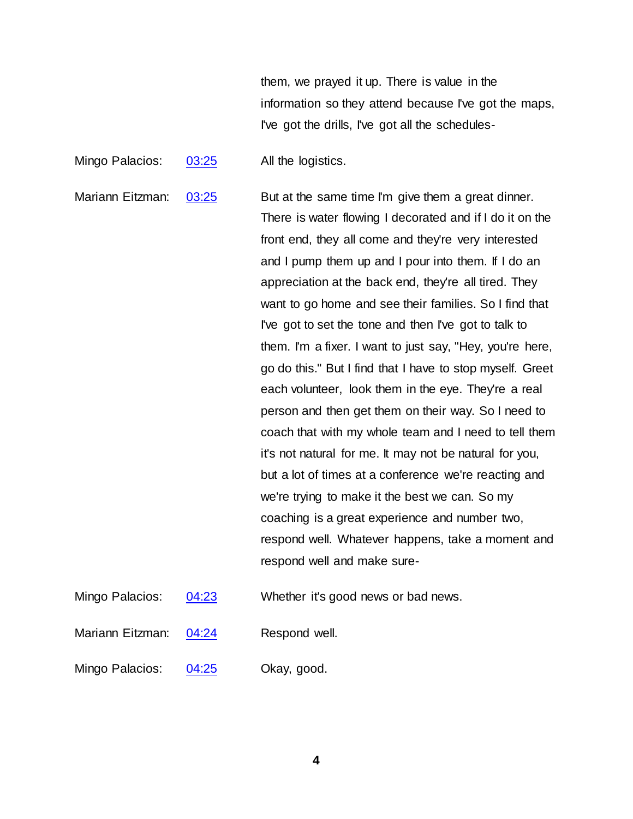them, we prayed it up. There is value in the information so they attend because I've got the maps, I've got the drills, I've got all the schedules-

Mingo Palacios: [03:25](https://www.temi.com/editor/t/lVGmS-6NS3Wzo82BE0O4nkUFaBO61hYkBWxeevHEkKNCepvKxpsRyD7XMY4CCRkeWDVsBXmMQubOlhWbDWjTvZvwH4Y?loadFrom=DocumentDeeplink&ts=205.94) All the logistics.

Mariann Eitzman: [03:25](https://www.temi.com/editor/t/lVGmS-6NS3Wzo82BE0O4nkUFaBO61hYkBWxeevHEkKNCepvKxpsRyD7XMY4CCRkeWDVsBXmMQubOlhWbDWjTvZvwH4Y?loadFrom=DocumentDeeplink&ts=205.94) But at the same time I'm give them a great dinner. There is water flowing I decorated and if I do it on the front end, they all come and they're very interested and I pump them up and I pour into them. If I do an appreciation at the back end, they're all tired. They want to go home and see their families. So I find that I've got to set the tone and then I've got to talk to them. I'm a fixer. I want to just say, "Hey, you're here, go do this." But I find that I have to stop myself. Greet each volunteer, look them in the eye. They're a real person and then get them on their way. So I need to coach that with my whole team and I need to tell them it's not natural for me. It may not be natural for you, but a lot of times at a conference we're reacting and we're trying to make it the best we can. So my coaching is a great experience and number two, respond well. Whatever happens, take a moment and respond well and make sure-

Mingo Palacios:  $\frac{04:23}{04:23}$  $\frac{04:23}{04:23}$  $\frac{04:23}{04:23}$  Whether it's good news or bad news.

Mariann Eitzman: [04:24](https://www.temi.com/editor/t/lVGmS-6NS3Wzo82BE0O4nkUFaBO61hYkBWxeevHEkKNCepvKxpsRyD7XMY4CCRkeWDVsBXmMQubOlhWbDWjTvZvwH4Y?loadFrom=DocumentDeeplink&ts=264.651) Respond well.

Mingo Palacios: [04:25](https://www.temi.com/editor/t/lVGmS-6NS3Wzo82BE0O4nkUFaBO61hYkBWxeevHEkKNCepvKxpsRyD7XMY4CCRkeWDVsBXmMQubOlhWbDWjTvZvwH4Y?loadFrom=DocumentDeeplink&ts=265.341) Okay, good.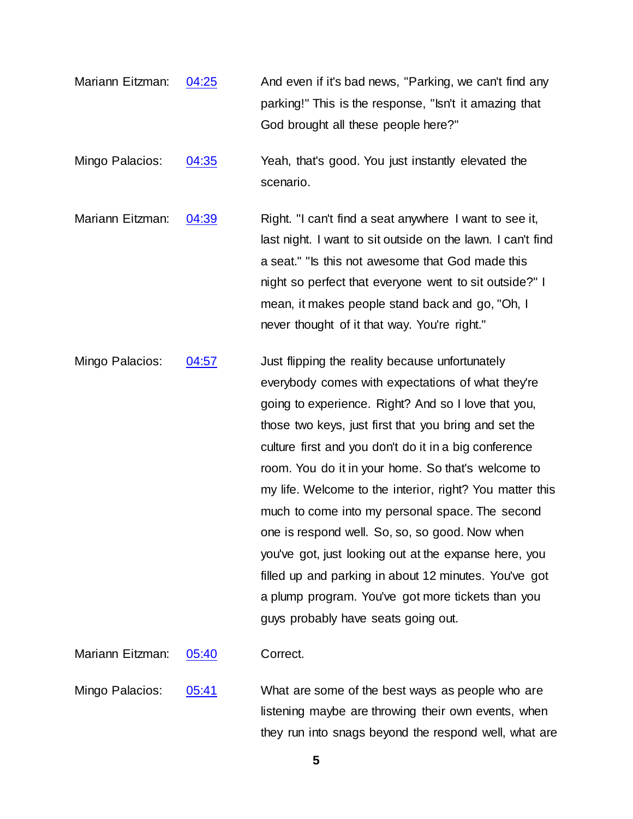- Mariann Eitzman:  $04:25$  And even if it's bad news, "Parking, we can't find any parking!" This is the response, "Isn't it amazing that God brought all these people here?"
- Mingo Palacios: [04:35](https://www.temi.com/editor/t/lVGmS-6NS3Wzo82BE0O4nkUFaBO61hYkBWxeevHEkKNCepvKxpsRyD7XMY4CCRkeWDVsBXmMQubOlhWbDWjTvZvwH4Y?loadFrom=DocumentDeeplink&ts=275.81) Yeah, that's good. You just instantly elevated the scenario.
- Mariann Eitzman: [04:39](https://www.temi.com/editor/t/lVGmS-6NS3Wzo82BE0O4nkUFaBO61hYkBWxeevHEkKNCepvKxpsRyD7XMY4CCRkeWDVsBXmMQubOlhWbDWjTvZvwH4Y?loadFrom=DocumentDeeplink&ts=279.56) Right. "I can't find a seat anywhere I want to see it, last night. I want to sit outside on the lawn. I can't find a seat." "Is this not awesome that God made this night so perfect that everyone went to sit outside?" I mean, it makes people stand back and go, "Oh, I never thought of it that way. You're right."
- Mingo Palacios: [04:57](https://www.temi.com/editor/t/lVGmS-6NS3Wzo82BE0O4nkUFaBO61hYkBWxeevHEkKNCepvKxpsRyD7XMY4CCRkeWDVsBXmMQubOlhWbDWjTvZvwH4Y?loadFrom=DocumentDeeplink&ts=297.2) Just flipping the reality because unfortunately everybody comes with expectations of what they're going to experience. Right? And so I love that you, those two keys, just first that you bring and set the culture first and you don't do it in a big conference room. You do it in your home. So that's welcome to my life. Welcome to the interior, right? You matter this much to come into my personal space. The second one is respond well. So, so, so good. Now when you've got, just looking out at the expanse here, you filled up and parking in about 12 minutes. You've got a plump program. You've got more tickets than you guys probably have seats going out.
- Mariann Eitzman: [05:40](https://www.temi.com/editor/t/lVGmS-6NS3Wzo82BE0O4nkUFaBO61hYkBWxeevHEkKNCepvKxpsRyD7XMY4CCRkeWDVsBXmMQubOlhWbDWjTvZvwH4Y?loadFrom=DocumentDeeplink&ts=340.97) Correct.
- Mingo Palacios: [05:41](https://www.temi.com/editor/t/lVGmS-6NS3Wzo82BE0O4nkUFaBO61hYkBWxeevHEkKNCepvKxpsRyD7XMY4CCRkeWDVsBXmMQubOlhWbDWjTvZvwH4Y?loadFrom=DocumentDeeplink&ts=341.181) What are some of the best ways as people who are listening maybe are throwing their own events, when they run into snags beyond the respond well, what are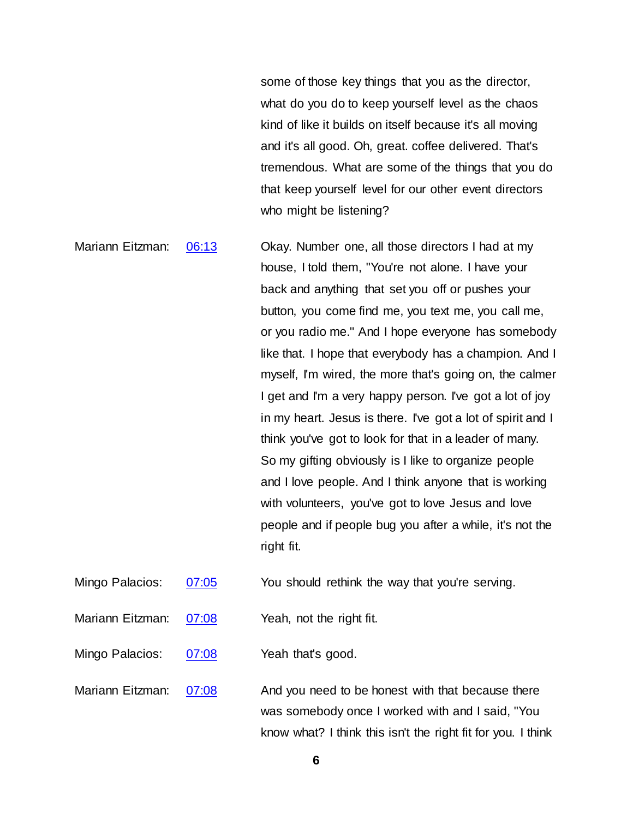some of those key things that you as the director, what do you do to keep yourself level as the chaos kind of like it builds on itself because it's all moving and it's all good. Oh, great. coffee delivered. That's tremendous. What are some of the things that you do that keep yourself level for our other event directors who might be listening?

Mariann Eitzman: [06:13](https://www.temi.com/editor/t/lVGmS-6NS3Wzo82BE0O4nkUFaBO61hYkBWxeevHEkKNCepvKxpsRyD7XMY4CCRkeWDVsBXmMQubOlhWbDWjTvZvwH4Y?loadFrom=DocumentDeeplink&ts=373.49) Ckay. Number one, all those directors I had at my house, I told them, "You're not alone. I have your back and anything that set you off or pushes your button, you come find me, you text me, you call me, or you radio me." And I hope everyone has somebody like that. I hope that everybody has a champion. And I myself, I'm wired, the more that's going on, the calmer I get and I'm a very happy person. I've got a lot of joy in my heart. Jesus is there. I've got a lot of spirit and I think you've got to look for that in a leader of many. So my gifting obviously is I like to organize people and I love people. And I think anyone that is working with volunteers, you've got to love Jesus and love people and if people bug you after a while, it's not the right fit.

Mingo Palacios: [07:05](https://www.temi.com/editor/t/lVGmS-6NS3Wzo82BE0O4nkUFaBO61hYkBWxeevHEkKNCepvKxpsRyD7XMY4CCRkeWDVsBXmMQubOlhWbDWjTvZvwH4Y?loadFrom=DocumentDeeplink&ts=425.601) You should rethink the way that you're serving.

Mariann Eitzman: [07:08](https://www.temi.com/editor/t/lVGmS-6NS3Wzo82BE0O4nkUFaBO61hYkBWxeevHEkKNCepvKxpsRyD7XMY4CCRkeWDVsBXmMQubOlhWbDWjTvZvwH4Y?loadFrom=DocumentDeeplink&ts=428.09) Yeah, not the right fit.

Mingo Palacios: [07:08](https://www.temi.com/editor/t/lVGmS-6NS3Wzo82BE0O4nkUFaBO61hYkBWxeevHEkKNCepvKxpsRyD7XMY4CCRkeWDVsBXmMQubOlhWbDWjTvZvwH4Y?loadFrom=DocumentDeeplink&ts=428.64) Yeah that's good.

Mariann Eitzman: [07:08](https://www.temi.com/editor/t/lVGmS-6NS3Wzo82BE0O4nkUFaBO61hYkBWxeevHEkKNCepvKxpsRyD7XMY4CCRkeWDVsBXmMQubOlhWbDWjTvZvwH4Y?loadFrom=DocumentDeeplink&ts=428.871) And you need to be honest with that because there was somebody once I worked with and I said, "You know what? I think this isn't the right fit for you. I think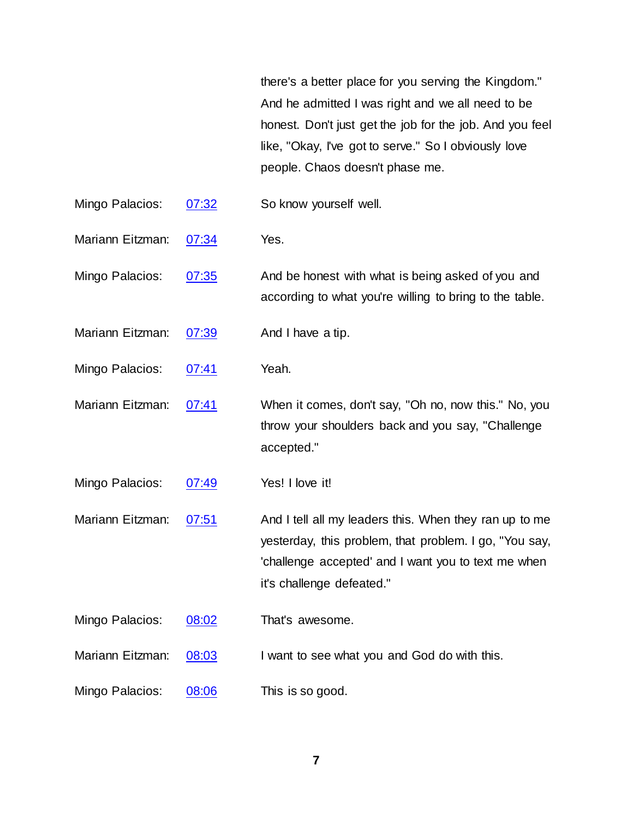there's a better place for you serving the Kingdom." And he admitted I was right and we all need to be honest. Don't just get the job for the job. And you feel like, "Okay, I've got to serve." So I obviously love people. Chaos doesn't phase me.

- Mingo Palacios: [07:32](https://www.temi.com/editor/t/lVGmS-6NS3Wzo82BE0O4nkUFaBO61hYkBWxeevHEkKNCepvKxpsRyD7XMY4CCRkeWDVsBXmMQubOlhWbDWjTvZvwH4Y?loadFrom=DocumentDeeplink&ts=452.75) So know yourself well.
- Mariann Eitzman: [07:34](https://www.temi.com/editor/t/lVGmS-6NS3Wzo82BE0O4nkUFaBO61hYkBWxeevHEkKNCepvKxpsRyD7XMY4CCRkeWDVsBXmMQubOlhWbDWjTvZvwH4Y?loadFrom=DocumentDeeplink&ts=454.46) Yes.

Mingo Palacios: [07:35](https://www.temi.com/editor/t/lVGmS-6NS3Wzo82BE0O4nkUFaBO61hYkBWxeevHEkKNCepvKxpsRyD7XMY4CCRkeWDVsBXmMQubOlhWbDWjTvZvwH4Y?loadFrom=DocumentDeeplink&ts=455.15) And be honest with what is being asked of you and according to what you're willing to bring to the table.

- Mariann Eitzman: [07:39](https://www.temi.com/editor/t/lVGmS-6NS3Wzo82BE0O4nkUFaBO61hYkBWxeevHEkKNCepvKxpsRyD7XMY4CCRkeWDVsBXmMQubOlhWbDWjTvZvwH4Y?loadFrom=DocumentDeeplink&ts=459.95) And I have a tip.
- Mingo Palacios: [07:41](https://www.temi.com/editor/t/lVGmS-6NS3Wzo82BE0O4nkUFaBO61hYkBWxeevHEkKNCepvKxpsRyD7XMY4CCRkeWDVsBXmMQubOlhWbDWjTvZvwH4Y?loadFrom=DocumentDeeplink&ts=461.54) Yeah.
- Mariann Eitzman: [07:41](https://www.temi.com/editor/t/lVGmS-6NS3Wzo82BE0O4nkUFaBO61hYkBWxeevHEkKNCepvKxpsRyD7XMY4CCRkeWDVsBXmMQubOlhWbDWjTvZvwH4Y?loadFrom=DocumentDeeplink&ts=461.54) When it comes, don't say, "Oh no, now this." No, you throw your shoulders back and you say, "Challenge accepted."

Mingo Palacios: [07:49](https://www.temi.com/editor/t/lVGmS-6NS3Wzo82BE0O4nkUFaBO61hYkBWxeevHEkKNCepvKxpsRyD7XMY4CCRkeWDVsBXmMQubOlhWbDWjTvZvwH4Y?loadFrom=DocumentDeeplink&ts=469.28) Yes! I love it!

Mariann Eitzman:  $07:51$  And I tell all my leaders this. When they ran up to me yesterday, this problem, that problem. I go, "You say, 'challenge accepted' and I want you to text me when it's challenge defeated."

Mingo Palacios: [08:02](https://www.temi.com/editor/t/lVGmS-6NS3Wzo82BE0O4nkUFaBO61hYkBWxeevHEkKNCepvKxpsRyD7XMY4CCRkeWDVsBXmMQubOlhWbDWjTvZvwH4Y?loadFrom=DocumentDeeplink&ts=482.06) That's awesome.

- Mariann Eitzman: [08:03](https://www.temi.com/editor/t/lVGmS-6NS3Wzo82BE0O4nkUFaBO61hYkBWxeevHEkKNCepvKxpsRyD7XMY4CCRkeWDVsBXmMQubOlhWbDWjTvZvwH4Y?loadFrom=DocumentDeeplink&ts=483.231) I want to see what you and God do with this.
- Mingo Palacios: [08:06](https://www.temi.com/editor/t/lVGmS-6NS3Wzo82BE0O4nkUFaBO61hYkBWxeevHEkKNCepvKxpsRyD7XMY4CCRkeWDVsBXmMQubOlhWbDWjTvZvwH4Y?loadFrom=DocumentDeeplink&ts=486.171) This is so good.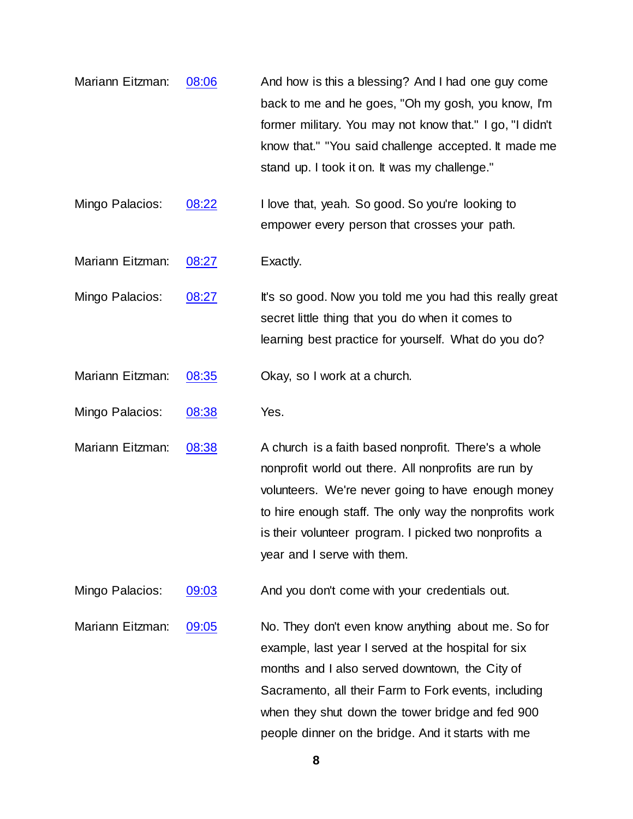- Mariann Eitzman: [08:06](https://www.temi.com/editor/t/lVGmS-6NS3Wzo82BE0O4nkUFaBO61hYkBWxeevHEkKNCepvKxpsRyD7XMY4CCRkeWDVsBXmMQubOlhWbDWjTvZvwH4Y?loadFrom=DocumentDeeplink&ts=486.171) And how is this a blessing? And I had one guy come back to me and he goes, "Oh my gosh, you know, I'm former military. You may not know that." I go, "I didn't know that." "You said challenge accepted. It made me stand up. I took it on. It was my challenge."
- Mingo Palacios: [08:22](https://www.temi.com/editor/t/lVGmS-6NS3Wzo82BE0O4nkUFaBO61hYkBWxeevHEkKNCepvKxpsRyD7XMY4CCRkeWDVsBXmMQubOlhWbDWjTvZvwH4Y?loadFrom=DocumentDeeplink&ts=502.821) I love that, yeah. So good. So you're looking to empower every person that crosses your path.

Mariann Eitzman: [08:27](https://www.temi.com/editor/t/lVGmS-6NS3Wzo82BE0O4nkUFaBO61hYkBWxeevHEkKNCepvKxpsRyD7XMY4CCRkeWDVsBXmMQubOlhWbDWjTvZvwH4Y?loadFrom=DocumentDeeplink&ts=507.261) Exactly.

Mingo Palacios:  $08:27$  It's so good. Now you told me you had this really great secret little thing that you do when it comes to learning best practice for yourself. What do you do?

Mariann Eitzman: [08:35](https://www.temi.com/editor/t/lVGmS-6NS3Wzo82BE0O4nkUFaBO61hYkBWxeevHEkKNCepvKxpsRyD7XMY4CCRkeWDVsBXmMQubOlhWbDWjTvZvwH4Y?loadFrom=DocumentDeeplink&ts=515.781) Okay, so I work at a church.

Mingo Palacios: [08:38](https://www.temi.com/editor/t/lVGmS-6NS3Wzo82BE0O4nkUFaBO61hYkBWxeevHEkKNCepvKxpsRyD7XMY4CCRkeWDVsBXmMQubOlhWbDWjTvZvwH4Y?loadFrom=DocumentDeeplink&ts=518.241) Yes.

Mariann Eitzman:  $08:38$  A church is a faith based nonprofit. There's a whole nonprofit world out there. All nonprofits are run by volunteers. We're never going to have enough money to hire enough staff. The only way the nonprofits work is their volunteer program. I picked two nonprofits a year and I serve with them.

Mingo Palacios:  $\frac{09:03}{09:03}$  $\frac{09:03}{09:03}$  $\frac{09:03}{09:03}$  And you don't come with your credentials out.

Mariann Eitzman: [09:05](https://www.temi.com/editor/t/lVGmS-6NS3Wzo82BE0O4nkUFaBO61hYkBWxeevHEkKNCepvKxpsRyD7XMY4CCRkeWDVsBXmMQubOlhWbDWjTvZvwH4Y?loadFrom=DocumentDeeplink&ts=545.46) No. They don't even know anything about me. So for example, last year I served at the hospital for six months and I also served downtown, the City of Sacramento, all their Farm to Fork events, including when they shut down the tower bridge and fed 900 people dinner on the bridge. And it starts with me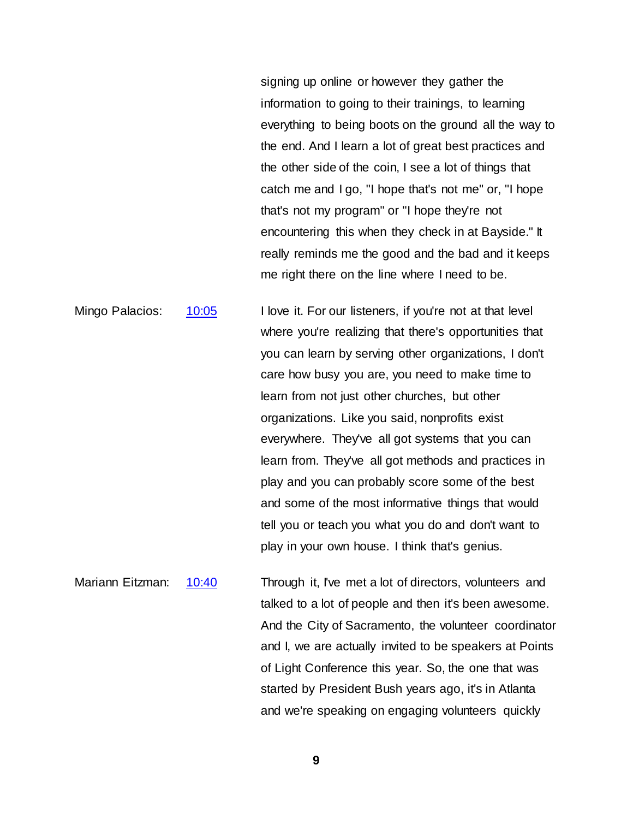signing up online or however they gather the information to going to their trainings, to learning everything to being boots on the ground all the way to the end. And I learn a lot of great best practices and the other side of the coin, I see a lot of things that catch me and I go, "I hope that's not me" or, "I hope that's not my program" or "I hope they're not encountering this when they check in at Bayside." It really reminds me the good and the bad and it keeps me right there on the line where I need to be.

Mingo Palacios: [10:05](https://www.temi.com/editor/t/lVGmS-6NS3Wzo82BE0O4nkUFaBO61hYkBWxeevHEkKNCepvKxpsRyD7XMY4CCRkeWDVsBXmMQubOlhWbDWjTvZvwH4Y?loadFrom=DocumentDeeplink&ts=605.821) I love it. For our listeners, if you're not at that level where you're realizing that there's opportunities that you can learn by serving other organizations, I don't care how busy you are, you need to make time to learn from not just other churches, but other organizations. Like you said, nonprofits exist everywhere. They've all got systems that you can learn from. They've all got methods and practices in play and you can probably score some of the best and some of the most informative things that would tell you or teach you what you do and don't want to play in your own house. I think that's genius.

Mariann Eitzman: [10:40](https://www.temi.com/editor/t/lVGmS-6NS3Wzo82BE0O4nkUFaBO61hYkBWxeevHEkKNCepvKxpsRyD7XMY4CCRkeWDVsBXmMQubOlhWbDWjTvZvwH4Y?loadFrom=DocumentDeeplink&ts=640.8) Through it, I've met a lot of directors, volunteers and talked to a lot of people and then it's been awesome. And the City of Sacramento, the volunteer coordinator and I, we are actually invited to be speakers at Points of Light Conference this year. So, the one that was started by President Bush years ago, it's in Atlanta and we're speaking on engaging volunteers quickly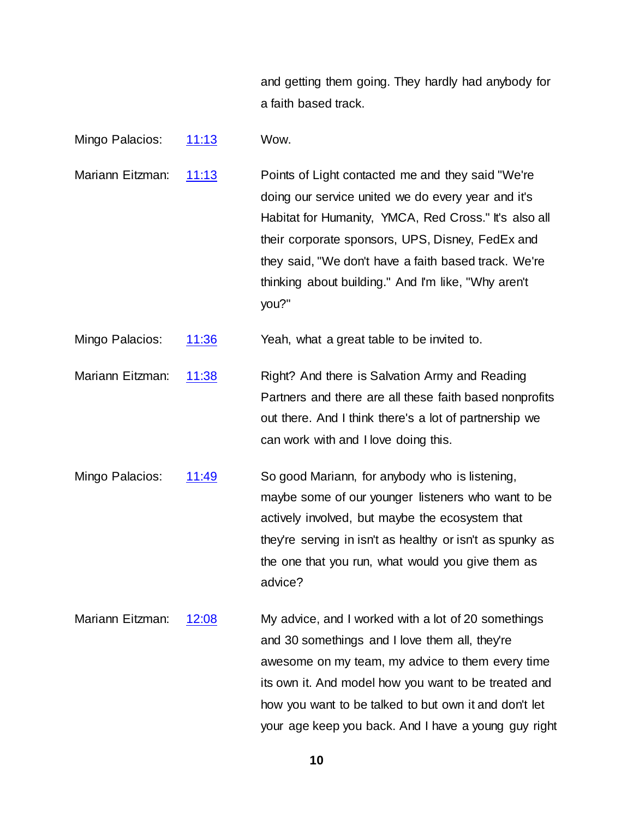and getting them going. They hardly had anybody for a faith based track.

Mingo Palacios: [11:13](https://www.temi.com/editor/t/lVGmS-6NS3Wzo82BE0O4nkUFaBO61hYkBWxeevHEkKNCepvKxpsRyD7XMY4CCRkeWDVsBXmMQubOlhWbDWjTvZvwH4Y?loadFrom=DocumentDeeplink&ts=673.861) Wow.

Mariann Eitzman: [11:13](https://www.temi.com/editor/t/lVGmS-6NS3Wzo82BE0O4nkUFaBO61hYkBWxeevHEkKNCepvKxpsRyD7XMY4CCRkeWDVsBXmMQubOlhWbDWjTvZvwH4Y?loadFrom=DocumentDeeplink&ts=673.861) Points of Light contacted me and they said "We're doing our service united we do every year and it's Habitat for Humanity, YMCA, Red Cross." It's also all their corporate sponsors, UPS, Disney, FedEx and they said, "We don't have a faith based track. We're thinking about building." And I'm like, "Why aren't you?"

Mingo Palacios: [11:36](https://www.temi.com/editor/t/lVGmS-6NS3Wzo82BE0O4nkUFaBO61hYkBWxeevHEkKNCepvKxpsRyD7XMY4CCRkeWDVsBXmMQubOlhWbDWjTvZvwH4Y?loadFrom=DocumentDeeplink&ts=696.241) Yeah, what a great table to be invited to.

Mariann Eitzman: [11:38](https://www.temi.com/editor/t/lVGmS-6NS3Wzo82BE0O4nkUFaBO61hYkBWxeevHEkKNCepvKxpsRyD7XMY4CCRkeWDVsBXmMQubOlhWbDWjTvZvwH4Y?loadFrom=DocumentDeeplink&ts=698.431) Right? And there is Salvation Army and Reading Partners and there are all these faith based nonprofits out there. And I think there's a lot of partnership we can work with and I love doing this.

Mingo Palacios: [11:49](https://www.temi.com/editor/t/lVGmS-6NS3Wzo82BE0O4nkUFaBO61hYkBWxeevHEkKNCepvKxpsRyD7XMY4CCRkeWDVsBXmMQubOlhWbDWjTvZvwH4Y?loadFrom=DocumentDeeplink&ts=709.41) So good Mariann, for anybody who is listening, maybe some of our younger listeners who want to be actively involved, but maybe the ecosystem that they're serving in isn't as healthy or isn't as spunky as the one that you run, what would you give them as advice?

Mariann Eitzman: [12:08](https://www.temi.com/editor/t/lVGmS-6NS3Wzo82BE0O4nkUFaBO61hYkBWxeevHEkKNCepvKxpsRyD7XMY4CCRkeWDVsBXmMQubOlhWbDWjTvZvwH4Y?loadFrom=DocumentDeeplink&ts=728.33) My advice, and I worked with a lot of 20 somethings and 30 somethings and I love them all, they're awesome on my team, my advice to them every time its own it. And model how you want to be treated and how you want to be talked to but own it and don't let your age keep you back. And I have a young guy right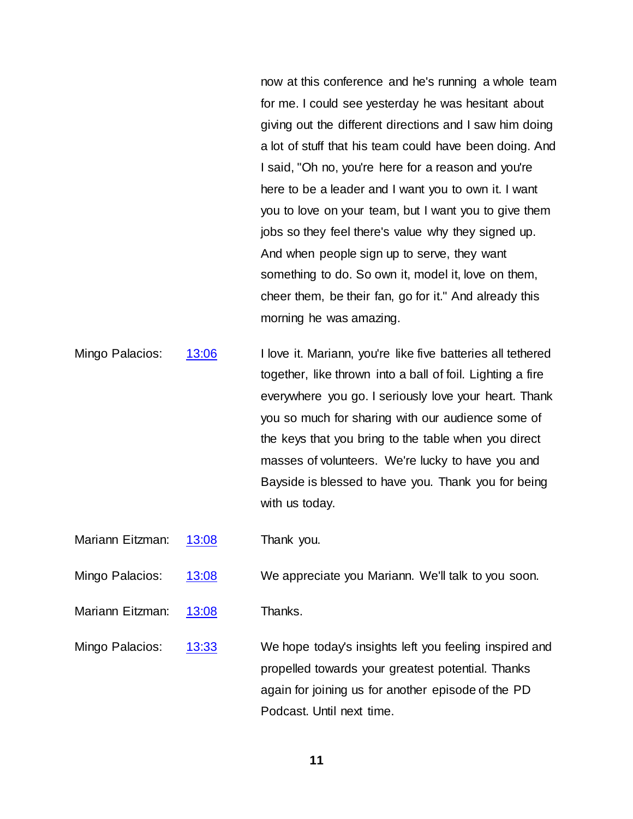now at this conference and he's running a whole team for me. I could see yesterday he was hesitant about giving out the different directions and I saw him doing a lot of stuff that his team could have been doing. And I said, "Oh no, you're here for a reason and you're here to be a leader and I want you to own it. I want you to love on your team, but I want you to give them jobs so they feel there's value why they signed up. And when people sign up to serve, they want something to do. So own it, model it, love on them, cheer them, be their fan, go for it." And already this morning he was amazing.

Mingo Palacios: [13:06](https://www.temi.com/editor/t/lVGmS-6NS3Wzo82BE0O4nkUFaBO61hYkBWxeevHEkKNCepvKxpsRyD7XMY4CCRkeWDVsBXmMQubOlhWbDWjTvZvwH4Y?loadFrom=DocumentDeeplink&ts=786.831) I love it. Mariann, you're like five batteries all tethered together, like thrown into a ball of foil. Lighting a fire everywhere you go. I seriously love your heart. Thank you so much for sharing with our audience some of the keys that you bring to the table when you direct masses of volunteers. We're lucky to have you and Bayside is blessed to have you. Thank you for being with us today.

Mariann Eitzman: [13:08](https://www.temi.com/editor/t/lVGmS-6NS3Wzo82BE0O4nkUFaBO61hYkBWxeevHEkKNCepvKxpsRyD7XMY4CCRkeWDVsBXmMQubOlhWbDWjTvZvwH4Y?loadFrom=DocumentDeeplink&ts=788.43) Thank you.

Mingo Palacios: [13:08](https://www.temi.com/editor/t/lVGmS-6NS3Wzo82BE0O4nkUFaBO61hYkBWxeevHEkKNCepvKxpsRyD7XMY4CCRkeWDVsBXmMQubOlhWbDWjTvZvwH4Y?loadFrom=DocumentDeeplink&ts=788.43) We appreciate you Mariann. We'll talk to you soon.

Mariann Eitzman: [13:08](https://www.temi.com/editor/t/lVGmS-6NS3Wzo82BE0O4nkUFaBO61hYkBWxeevHEkKNCepvKxpsRyD7XMY4CCRkeWDVsBXmMQubOlhWbDWjTvZvwH4Y?loadFrom=DocumentDeeplink&ts=788.43) Thanks.

Mingo Palacios: [13:33](https://www.temi.com/editor/t/lVGmS-6NS3Wzo82BE0O4nkUFaBO61hYkBWxeevHEkKNCepvKxpsRyD7XMY4CCRkeWDVsBXmMQubOlhWbDWjTvZvwH4Y?loadFrom=DocumentDeeplink&ts=813.52) We hope today's insights left you feeling inspired and propelled towards your greatest potential. Thanks again for joining us for another episode of the PD Podcast. Until next time.